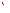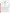## **THE ENVIRONMENTAL TECHNOLOGY VERIFICATION** PROGRAM





**Battelle** The Business of Innovation

# **ETV Joint Verification Statement**

|                                   | <b>TECHNOLOGY TYPE: Mercury Emissions Monitor</b> |                                                          |  |
|-----------------------------------|---------------------------------------------------|----------------------------------------------------------|--|
| <b>APPLICATION:</b>               | <b>Monitoring of Flue Gas Mercury</b>             |                                                          |  |
| <b>TECHNOLOGY</b><br><b>NAME:</b> | <b>Thermo Electron Mercury Freedom System</b>     |                                                          |  |
| <b>COMPANY:</b>                   | <b>Thermo Electron Corporation</b>                |                                                          |  |
| <b>ADDRESS:</b>                   | 81 Wyman Street<br>Waltham, MA 02454              | PHONE: (781) 622-1000<br>$(781)$ 622-1207<br><b>FAX:</b> |  |
| <b>WEB SITE:</b><br>E-MAIL:       | www.thermo.com                                    |                                                          |  |

The U.S. Environmental Protection Agency (EPA) has established the Environmental Technology Verification (ETV) Program to facilitate the deployment of innovative or improved environmental technologies through performance verification and dissemination of information. The goal of the ETV Program is to further environmental protection by accelerating the acceptance and use of improved and cost-effective technologies. ETV seeks to achieve this goal by providing high-quality, peer-reviewed data on technology performance to those involved in the design, distribution, financing, permitting, purchase, and use of environmental technologies. Information and ETV documents are available at www.epa.gov/etv.

ETV works in partnership with recognized standards and testing organizations, with stakeholder groups (consisting of buyers, vendor organizations, and permitters), and with individual technology developers. The program evaluates the performance of innovative technologies by developing test plans that are responsive to the needs of stakeholders, conducting field or laboratory tests (as appropriate), collecting and analyzing data, and preparing peer-reviewed reports. All evaluations are conducted in accordance with rigorous quality assurance (QA) protocols to ensure that data of known and adequate quality are generated and that the results are defensible.

The Advanced Monitoring Systems (AMS) Center, one of six technology areas under ETV, is operated by Battelle in cooperation with EPA's National Exposure Research Laboratory. In collaboration with the Illinois Clean Coal Institute, and with assistance from the Northern Indiana Public Service Company, the AMS Center evaluated the performance of the Thermo Electron Mercury Freedom System (MFS) for determining mercury in stack gas at a coal-fired power plant. This verification statement provides a summary of the test results.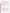#### **VERIFICATION TEST DESCRIPTION**

The performance of the MFS was evaluated in terms of relative accuracy (RA), linearity, seven-day calibration error, cycle time, data completeness, and operational factors (ease of use, maintenance and data output needs, power and other consumables use, reliability, and operational costs). RA was determined according to Equation A-10 of Chapter 40 of the Code of Federal Regulations Part 75 (40 CFR Part 75) Appendix A, by comparing MFS vapor-phase total mercury ( $\text{Hg}_\text{T}$ ) results to simultaneous results from American Society for Testing and Materials D 6784-02, the "Ontario Hydro" (OH) method. Calibration error was evaluated by comparing MFS readings on mercury standard and zero gases performed once each day over a consecutive seven-day period. Cycle time was evaluated in terms of the response of the MFS when switching from a zero gas or upscale elemental mercury  $(Hg^0)$  standard gas, supplied at the MFS probe inlet, to sampling of stack gas. Data completeness was assessed as the percentage of maximum data return achieved by the MFS over the test period. Operational factors were evaluated by means of observations during testing and records of needed maintenance, vendor activities, and expendables use.

The MFS was verified at Unit 17 of the R.M. Schahfer Generating Station, located near Wheatfield, Indiana, in part of a field test that took place between June 12 and July 25, 2006. Unit 17 burns pulverized Illinois subbituminous coal and has an electrostatic precipitator and a wet flue gas desulfurization unit. During the period of operation of the MFS, twelve successive OH method runs, each of 2 hours duration, were conducted on the Unit 17 stack using paired OH trains. Those reference samples were collected and analyzed to determine  $Hg<sup>0</sup>$ and oxidized mercury ( $Hg_{OX}$ ), the sum of which is  $Hg_T$ .

QA oversight of verification testing was provided by Battelle and EPA. Battelle QA staff conducted a technical systems audit, a performance evaluation audit, and a data quality audit of 10% of the test data.

This verification statement, the full report on which it is based, and the test/QA plan for this verification test are all available at www.epa.gov/etv/centers/center1.html.

### **TECHNOLOGY DESCRIPTION**

The following description of the MFS is based on information provided by the vendor. The information provided below was not verified in this test.

Designed to meet the provisions of 40 CFR Parts 60 and 75, the MFS can determine  $Hg^0$ ,  $Hg_{OX}$ , and  $Hg_T$  in exhaust stacks of coal-fired boilers. The system uses a direct measurement atomic fluorescence method that precludes the use of argon tanks and gold amalgamation. The system extracts a small sample flow from the flue gas stream and immediately dilutes it inside the probe. Any  $Hg_{OX}$  in the diluted sample is then converted to  $Hg^0$ in a dry heated converter to obtain an  $Hg_T$  measurement. This diluted, converted sample is continuously transported to the mercury analyzer in the MFS rack where it is analyzed using atomic fluorescence technology developed specifically for measuring mercury vapor concentrations on a continuous, real-time basis. In this test, the continuous readings of the MFS were averaged and reported at one-minute intervals. The MFS determined only  $Hg_T$  for the purposes of this test.

The MFS consists of a sampling probe with an integrated converter, a heated umbilical line, a probe controller, a saturated  $Hg^0$  vapor calibrator, and an atomic fluorescence analyzer. The MFS can be audited by introduction of mercury calibration gas standards, which can be delivered directly to the probe inlet by the MFS umbilical. In its rack configuration, the system is 70 inches high by 36 inches deep by 24 inches wide. The probe box measures 34.5 inches long by 18.5 inches high by 10.5 inches wide and weighs 90 pounds. Onboard data storage capacity is 4 megabytes. Recording to a data acquisition system can be accomplished using analog output signals, digital (RS232/485), or modbus (via an industry standard Ethernet port).